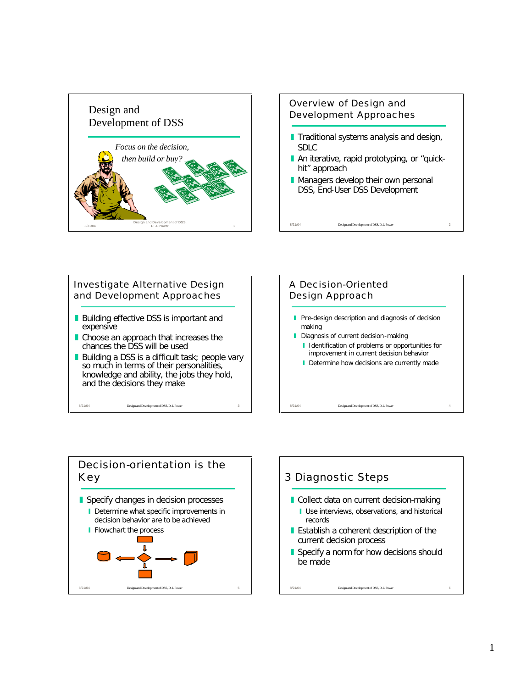









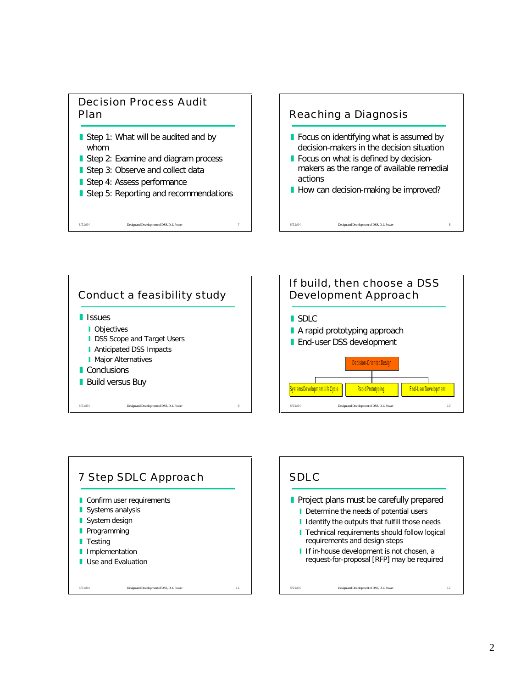#### Decision Process Audit Plan

- Step 1: What will be audited and by whom
- Step 2: Examine and diagram process
- Step 3: Observe and collect data
- Step 4: Assess performance

8/21/04 Design and Development of DSS, D. J. Power

Step 5: Reporting and recommendations

# Reaching a Diagnosis

- Focus on identifying what is assumed by decision-makers in the decision situation
- $\blacksquare$  Focus on what is defined by decisionmakers as the range of available remedial actions
- How can decision-making be improved?

8/21/04 Design and Development of DSS, D. J. Power 8







# SDLC

- $\blacksquare$  Project plans must be carefully prepared
	- Determine the needs of potential users
	- I Identify the outputs that fulfill those needs
	- **I** Technical requirements should follow logical requirements and design steps
	- I If in-house development is not chosen, a request-for-proposal [RFP] may be required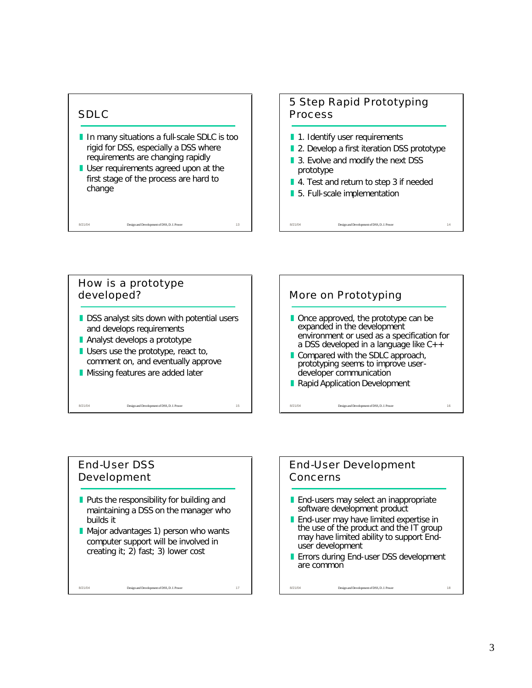# SDLC

- I In many situations a full-scale SDLC is too rigid for DSS, especially a DSS where requirements are changing rapidly
- **I** User requirements agreed upon at the first stage of the process are hard to change

8/21/04 Design and Development of DSS, D. J. Power 13

## 5 Step Rapid Prototyping Process

- **1.** 1. Identify user requirements
- **2.** Develop a first iteration DSS prototype

8/21/04 Design and Development of DSS, D. J. Power 14

- 3. Evolve and modify the next DSS prototype
- 4. Test and return to step 3 if needed
- 5. Full-scale implementation



#### End-User DSS Development

- $\blacksquare$  Puts the responsibility for building and maintaining a DSS on the manager who builds it
- $\blacksquare$  Major advantages 1) person who wants computer support will be involved in creating it; 2) fast; 3) lower cost

8/21/04 Design and Development of DSS, D. J. Power 17

# End-User Development Concerns

- **End-users may select an inappropriate** software development product
- **End-user may have limited expertise in** the use of the product and the IT group may have limited ability to support Enduser development
- **E** Errors during End-user DSS development are common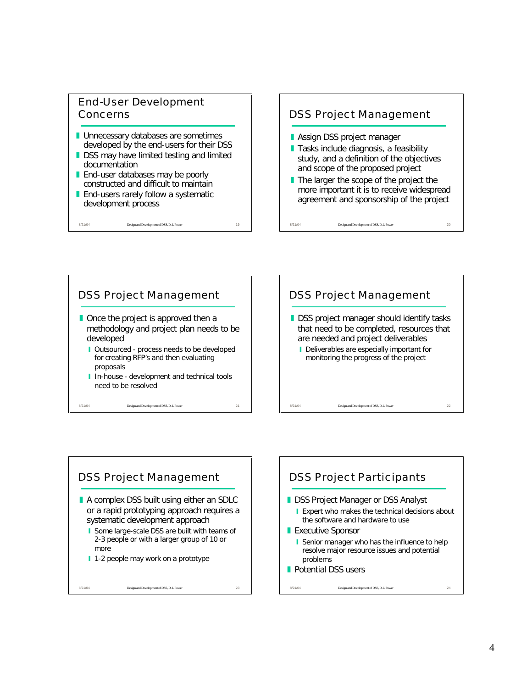#### End-User Development Concerns

- **I** Unnecessary databases are sometimes developed by the end-users for their DSS
- **DSS may have limited testing and limited** documentation
- **End-user databases may be poorly** constructed and difficult to maintain
- **End-users rarely follow a systematic** development process

8/21/04 Design and Development of DSS, D. J. Power 19

#### DSS Project Management

- **Assign DSS project manager**
- **Tasks include diagnosis, a feasibility** study, and a definition of the objectives and scope of the proposed project
- $\blacksquare$  The larger the scope of the project the more important it is to receive widespread agreement and sponsorship of the project